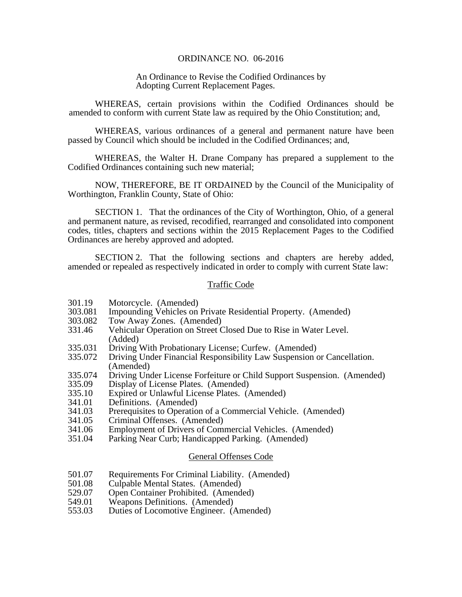## ORDINANCE NO. 06-2016

## An Ordinance to Revise the Codified Ordinances by Adopting Current Replacement Pages.

 WHEREAS, certain provisions within the Codified Ordinances should be amended to conform with current State law as required by the Ohio Constitution; and,

 WHEREAS, various ordinances of a general and permanent nature have been passed by Council which should be included in the Codified Ordinances; and,

 WHEREAS, the Walter H. Drane Company has prepared a supplement to the Codified Ordinances containing such new material;

 NOW, THEREFORE, BE IT ORDAINED by the Council of the Municipality of Worthington, Franklin County, State of Ohio:

 SECTION 1. That the ordinances of the City of Worthington, Ohio, of a general and permanent nature, as revised, recodified, rearranged and consolidated into component codes, titles, chapters and sections within the 2015 Replacement Pages to the Codified Ordinances are hereby approved and adopted.

 SECTION 2. That the following sections and chapters are hereby added, amended or repealed as respectively indicated in order to comply with current State law:

#### Traffic Code

- 301.19 Motorcycle. (Amended)<br>303.081 Impounding Vehicles on
- Impounding Vehicles on Private Residential Property. (Amended)
- 303.082 Tow Away Zones. (Amended)
- 331.46 Vehicular Operation on Street Closed Due to Rise in Water Level. (Added)
- 335.031 Driving With Probationary License; Curfew. (Amended)<br>335.072 Driving Under Financial Responsibility Law Suspension of
- Driving Under Financial Responsibility Law Suspension or Cancellation. (Amended)
- 335.074 Driving Under License Forfeiture or Child Support Suspension. (Amended)
- 335.09 Display of License Plates. (Amended)
- 335.10 Expired or Unlawful License Plates. (Amended)
- 341.01 Definitions. (Amended)
- 341.03 Prerequisites to Operation of a Commercial Vehicle. (Amended)
- 341.05 Criminal Offenses. (Amended)
- 341.06 Employment of Drivers of Commercial Vehicles. (Amended)
- 351.04 Parking Near Curb; Handicapped Parking. (Amended)

## General Offenses Code

- 501.07 Requirements For Criminal Liability. (Amended)
- 501.08 Culpable Mental States. (Amended)
- 529.07 Open Container Prohibited. (Amended)<br>549.01 Weapons Definitions. (Amended)
- 549.01 Weapons Definitions. (Amended)<br>553.03 Duties of Locomotive Engineer. (Amended)
- Duties of Locomotive Engineer. (Amended)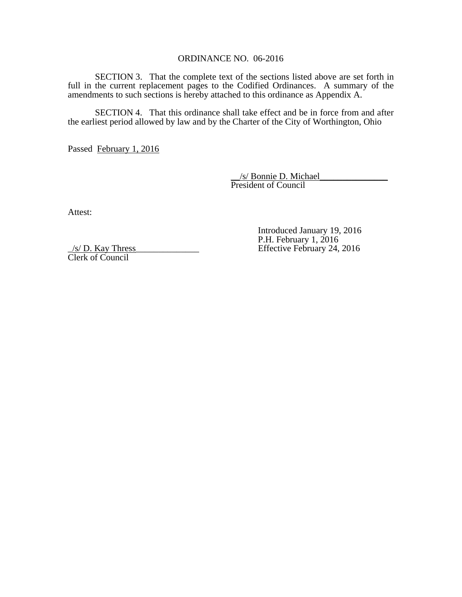## ORDINANCE NO. 06-2016

 SECTION 3. That the complete text of the sections listed above are set forth in full in the current replacement pages to the Codified Ordinances. A summary of the amendments to such sections is hereby attached to this ordinance as Appendix A.

 SECTION 4. That this ordinance shall take effect and be in force from and after the earliest period allowed by law and by the Charter of the City of Worthington, Ohio

Passed February 1, 2016

 \_\_/s/ Bonnie D. Michael\_\_\_\_\_\_\_\_\_\_\_\_\_\_\_ President of Council

Attest:

 Introduced January 19, 2016 S/D. Kay Thress P.H. February 1, 2016<br>Effective February 24, Effective February 24, 2016

Clerk of Council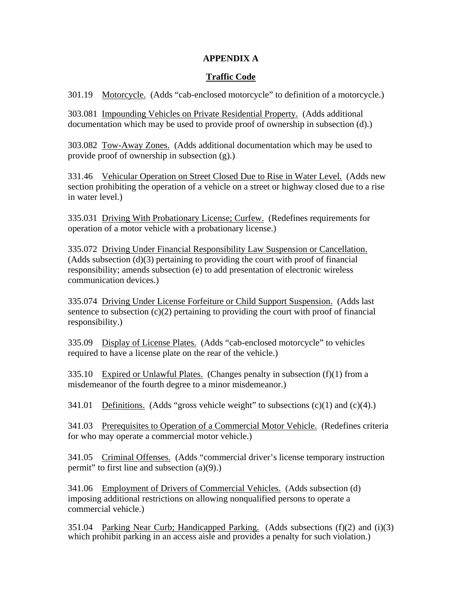# **APPENDIX A**

# **Traffic Code**

301.19 Motorcycle. (Adds "cab-enclosed motorcycle" to definition of a motorcycle.)

303.081 Impounding Vehicles on Private Residential Property. (Adds additional documentation which may be used to provide proof of ownership in subsection (d).)

303.082 Tow-Away Zones. (Adds additional documentation which may be used to provide proof of ownership in subsection (g).)

331.46 Vehicular Operation on Street Closed Due to Rise in Water Level. (Adds new section prohibiting the operation of a vehicle on a street or highway closed due to a rise in water level.)

335.031 Driving With Probationary License; Curfew. (Redefines requirements for operation of a motor vehicle with a probationary license.)

335.072 Driving Under Financial Responsibility Law Suspension or Cancellation. (Adds subsection (d)(3) pertaining to providing the court with proof of financial responsibility; amends subsection (e) to add presentation of electronic wireless communication devices.)

335.074 Driving Under License Forfeiture or Child Support Suspension. (Adds last sentence to subsection  $(c)(2)$  pertaining to providing the court with proof of financial responsibility.)

335.09 Display of License Plates. (Adds "cab-enclosed motorcycle" to vehicles required to have a license plate on the rear of the vehicle.)

335.10 Expired or Unlawful Plates. (Changes penalty in subsection  $(f)(1)$  from a misdemeanor of the fourth degree to a minor misdemeanor.)

341.01 Definitions. (Adds "gross vehicle weight" to subsections  $(c)(1)$  and  $(c)(4)$ .)

341.03 Prerequisites to Operation of a Commercial Motor Vehicle. (Redefines criteria for who may operate a commercial motor vehicle.)

341.05 Criminal Offenses. (Adds "commercial driver's license temporary instruction permit" to first line and subsection (a)(9).)

341.06 Employment of Drivers of Commercial Vehicles. (Adds subsection (d) imposing additional restrictions on allowing nonqualified persons to operate a commercial vehicle.)

351.04 Parking Near Curb; Handicapped Parking. (Adds subsections (f)(2) and (i)(3) which prohibit parking in an access aisle and provides a penalty for such violation.)